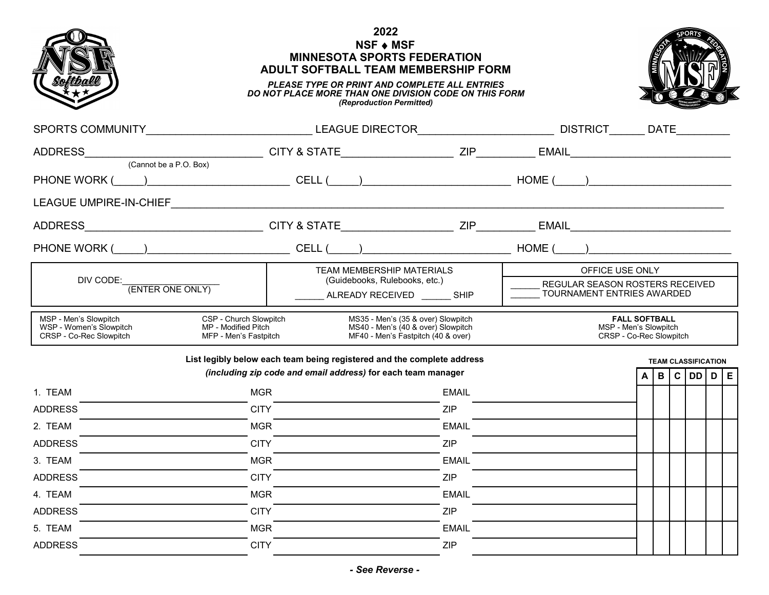

## **2022 NSF** ♦ **MSF MINNESOTA SPORTS FEDERATION ADULT SOFTBALL TEAM MEMBERSHIP FORM**



## *PLEASE TYPE OR PRINT AND COMPLETE ALL ENTRIES DO NOT PLACE MORE THAN ONE DIVISION CODE ON THIS FORM (Reproduction Permitted)*

|                                                                                                                                                                                                                                                                         | SPORTS COMMUNITY_______________________________LEAGUE DIRECTOR__________________________DISTRICT_______DATE________                    |              |                                                                          |  |  |  |                            |  |  |
|-------------------------------------------------------------------------------------------------------------------------------------------------------------------------------------------------------------------------------------------------------------------------|----------------------------------------------------------------------------------------------------------------------------------------|--------------|--------------------------------------------------------------------------|--|--|--|----------------------------|--|--|
|                                                                                                                                                                                                                                                                         |                                                                                                                                        |              |                                                                          |  |  |  |                            |  |  |
| (Cannot be a P.O. Box)                                                                                                                                                                                                                                                  |                                                                                                                                        |              |                                                                          |  |  |  |                            |  |  |
|                                                                                                                                                                                                                                                                         |                                                                                                                                        |              |                                                                          |  |  |  |                            |  |  |
|                                                                                                                                                                                                                                                                         |                                                                                                                                        |              |                                                                          |  |  |  |                            |  |  |
| ADDRESS_________________________________CITY & STATE__________________ZIP___________BMAIL_____________________                                                                                                                                                          |                                                                                                                                        |              |                                                                          |  |  |  |                            |  |  |
| PHONE WORK (____)___________________________CELL (____)____________________________HOME (____)________________                                                                                                                                                          |                                                                                                                                        |              |                                                                          |  |  |  |                            |  |  |
|                                                                                                                                                                                                                                                                         | TEAM MEMBERSHIP MATERIALS<br>(Guidebooks, Rulebooks, etc.)<br>ALREADY RECEIVED SHIP                                                    |              | OFFICE USE ONLY                                                          |  |  |  |                            |  |  |
| DIV CODE:<br>(ENTER ONE ONLY)                                                                                                                                                                                                                                           |                                                                                                                                        |              | REGULAR SEASON ROSTERS RECEIVED<br>TOURNAMENT ENTRIES AWARDED            |  |  |  |                            |  |  |
| CSP - Church Slowpitch<br>MS35 - Men's (35 & over) Slowpitch<br>MSP - Men's Slowpitch<br>WSP - Women's Slowpitch<br>MP - Modified Pitch<br>MS40 - Men's (40 & over) Slowpitch<br>CRSP - Co-Rec Slowpitch<br>MFP - Men's Fastpitch<br>MF40 - Men's Fastpitch (40 & over) |                                                                                                                                        |              | <b>FALL SOFTBALL</b><br>MSP - Men's Slowpitch<br>CRSP - Co-Rec Slowpitch |  |  |  |                            |  |  |
|                                                                                                                                                                                                                                                                         | List legibly below each team being registered and the complete address<br>(including zip code and email address) for each team manager |              |                                                                          |  |  |  | <b>TEAM CLASSIFICATION</b> |  |  |
|                                                                                                                                                                                                                                                                         |                                                                                                                                        |              |                                                                          |  |  |  | B C DD D E                 |  |  |
| 1. TEAM<br><b>ADDRESS</b>                                                                                                                                                                                                                                               | <b>MGR</b><br><b>CITY</b>                                                                                                              | EMAIL<br>ZIP |                                                                          |  |  |  |                            |  |  |
| 2. TEAM                                                                                                                                                                                                                                                                 | <b>MGR</b>                                                                                                                             | <b>EMAIL</b> |                                                                          |  |  |  |                            |  |  |
| <b>ADDRESS</b>                                                                                                                                                                                                                                                          | <b>CITY</b>                                                                                                                            | ZIP          |                                                                          |  |  |  |                            |  |  |
| 3. TEAM                                                                                                                                                                                                                                                                 | <b>MGR</b>                                                                                                                             | <b>EMAIL</b> |                                                                          |  |  |  |                            |  |  |
| <b>ADDRESS</b>                                                                                                                                                                                                                                                          | <b>CITY</b>                                                                                                                            | ZIP          |                                                                          |  |  |  |                            |  |  |
|                                                                                                                                                                                                                                                                         |                                                                                                                                        | <b>EMAIL</b> |                                                                          |  |  |  |                            |  |  |
| <b>MGR</b><br>4. TEAM                                                                                                                                                                                                                                                   |                                                                                                                                        |              |                                                                          |  |  |  |                            |  |  |
| <b>ADDRESS</b>                                                                                                                                                                                                                                                          | <b>CITY</b>                                                                                                                            | <b>ZIP</b>   |                                                                          |  |  |  |                            |  |  |
| 5. TEAM                                                                                                                                                                                                                                                                 | <b>MGR</b>                                                                                                                             | <b>EMAIL</b> |                                                                          |  |  |  |                            |  |  |